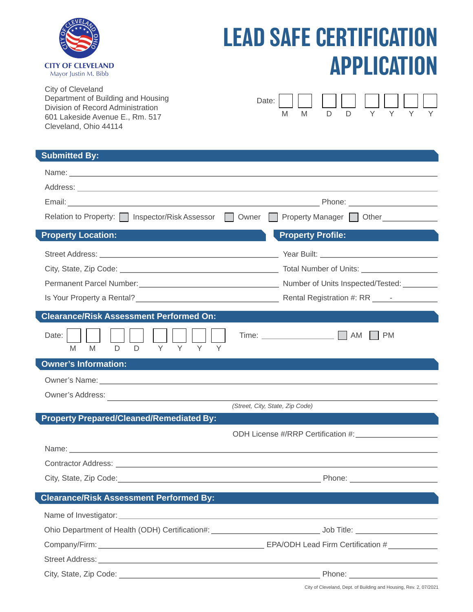

## LEAD SAFE CERTIFICATION APPLICATION

City of Cleveland Department of Building and Housing Division of Record Administration 601 Lakeside Avenue E., Rm. 517 Cleveland, Ohio 44114

|  |        |        | Date: $\Box$ $\Box$ $\Box$ $\Box$ $\Box$ $\Box$ $\Box$ |              |  |
|--|--------|--------|--------------------------------------------------------|--------------|--|
|  | $\Box$ | $\Box$ | $\vee$                                                 | $\mathsf{Y}$ |  |

| <b>Submitted By:</b>                                                                           |                                 |  |  |
|------------------------------------------------------------------------------------------------|---------------------------------|--|--|
|                                                                                                |                                 |  |  |
|                                                                                                |                                 |  |  |
|                                                                                                |                                 |  |  |
| Relation to Property:   Inspector/Risk Assessor   Owner   Property Manager   Other             |                                 |  |  |
| <b>Property Location:</b>                                                                      | <b>Property Profile:</b>        |  |  |
|                                                                                                |                                 |  |  |
|                                                                                                |                                 |  |  |
| Permanent Parcel Number: 1990 Manual Communication (September of Units Inspected/Tested: 1990) |                                 |  |  |
|                                                                                                |                                 |  |  |
| <b>Clearance/Risk Assessment Performed On:</b>                                                 |                                 |  |  |
| Date:<br>D D Y Y Y Y<br>M <sub>1</sub><br>M                                                    | <b>PM</b>                       |  |  |
| <b>Owner's Information:</b>                                                                    |                                 |  |  |
|                                                                                                |                                 |  |  |
|                                                                                                |                                 |  |  |
|                                                                                                | (Street, City, State, Zip Code) |  |  |
| <b>Property Prepared/Cleaned/Remediated By:</b>                                                |                                 |  |  |
|                                                                                                |                                 |  |  |
|                                                                                                |                                 |  |  |
|                                                                                                |                                 |  |  |
|                                                                                                |                                 |  |  |
| <b>Clearance/Risk Assessment Performed By:</b>                                                 |                                 |  |  |
|                                                                                                |                                 |  |  |
|                                                                                                |                                 |  |  |
|                                                                                                |                                 |  |  |
|                                                                                                |                                 |  |  |
| City, State, Zip Code:                                                                         | Phone:                          |  |  |

City of Cleveland, Dept. of Building and Housing, Rev. 2, 07/2021